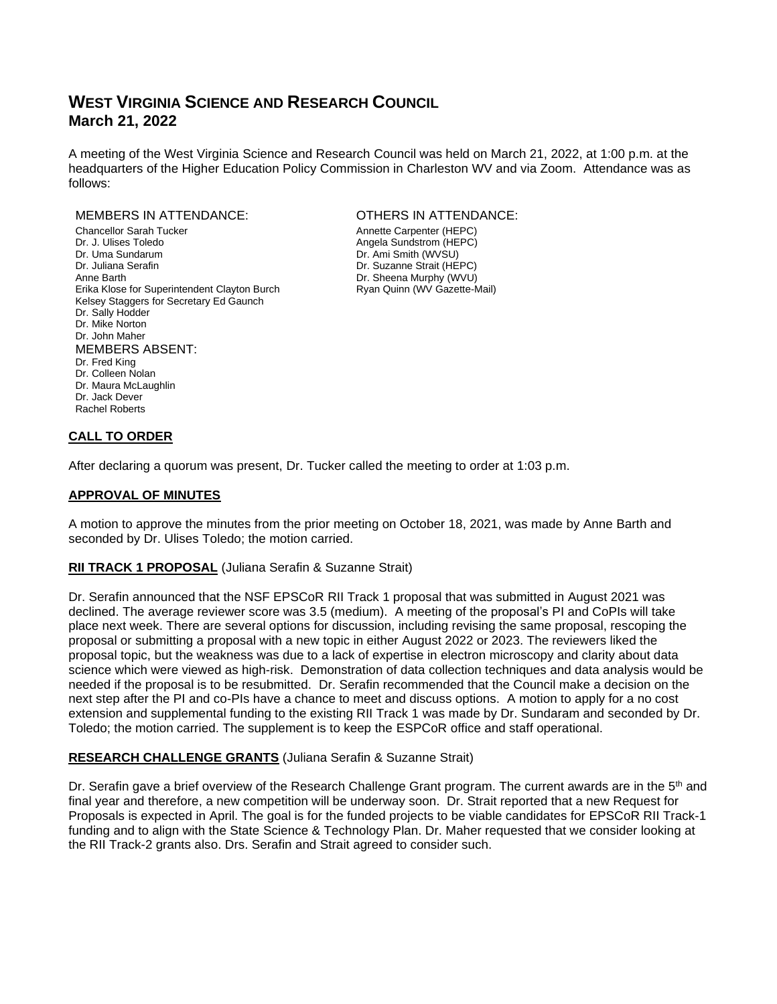# **WEST VIRGINIA SCIENCE AND RESEARCH COUNCIL March 21, 2022**

A meeting of the West Virginia Science and Research Council was held on March 21, 2022, at 1:00 p.m. at the headquarters of the Higher Education Policy Commission in Charleston WV and via Zoom. Attendance was as follows:

#### MEMBERS IN ATTENDANCE: OTHERS IN ATTENDANCE:

Chancellor Sarah Tucker **Annette Carpenter (HEPC)**<br>
Dr. J. Ulises Toledo<br>
Dr. J. Ulises Toledo Dr. Uma Sundarum **Dr. Ami Smith (WVSU)** Dr. Juliana Serafin **Dr. Suzanne Strait (HEPC)** Anne Barth **Dr.** Sheena Murphy (WVU) Erika Klose for Superintendent Clayton Burch Ryan Quinn (WV Gazette-Mail) Kelsey Staggers for Secretary Ed Gaunch Dr. Sally Hodder Dr. Mike Norton Dr. John Maher MEMBERS ABSENT: Dr. Fred King Dr. Colleen Nolan Dr. Maura McLaughlin Dr. Jack Dever Rachel Roberts

Angela Sundstrom (HEPC)

## **CALL TO ORDER**

After declaring a quorum was present, Dr. Tucker called the meeting to order at 1:03 p.m.

### **APPROVAL OF MINUTES**

A motion to approve the minutes from the prior meeting on October 18, 2021, was made by Anne Barth and seconded by Dr. Ulises Toledo; the motion carried.

### **RII TRACK 1 PROPOSAL** (Juliana Serafin & Suzanne Strait)

Dr. Serafin announced that the NSF EPSCoR RII Track 1 proposal that was submitted in August 2021 was declined. The average reviewer score was 3.5 (medium). A meeting of the proposal's PI and CoPIs will take place next week. There are several options for discussion, including revising the same proposal, rescoping the proposal or submitting a proposal with a new topic in either August 2022 or 2023. The reviewers liked the proposal topic, but the weakness was due to a lack of expertise in electron microscopy and clarity about data science which were viewed as high-risk. Demonstration of data collection techniques and data analysis would be needed if the proposal is to be resubmitted. Dr. Serafin recommended that the Council make a decision on the next step after the PI and co-PIs have a chance to meet and discuss options. A motion to apply for a no cost extension and supplemental funding to the existing RII Track 1 was made by Dr. Sundaram and seconded by Dr. Toledo; the motion carried. The supplement is to keep the ESPCoR office and staff operational.

### **RESEARCH CHALLENGE GRANTS** (Juliana Serafin & Suzanne Strait)

Dr. Serafin gave a brief overview of the Research Challenge Grant program. The current awards are in the 5<sup>th</sup> and final year and therefore, a new competition will be underway soon. Dr. Strait reported that a new Request for Proposals is expected in April. The goal is for the funded projects to be viable candidates for EPSCoR RII Track-1 funding and to align with the State Science & Technology Plan. Dr. Maher requested that we consider looking at the RII Track-2 grants also. Drs. Serafin and Strait agreed to consider such.